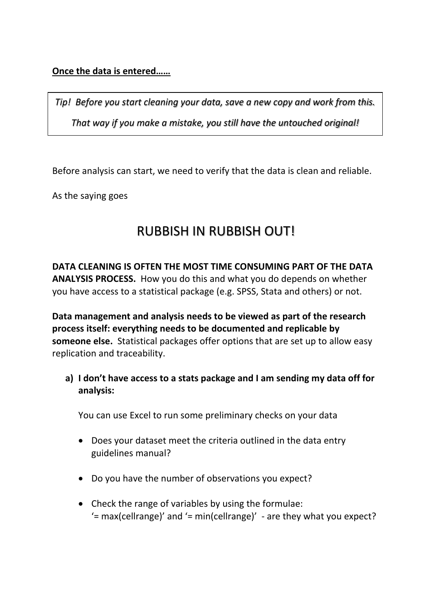## **Once the data is entered……**

*Tip! Before you start cleaning your data, save a new copy and work from this. That way if you make a mistake, you still have the untouched original!*

Before analysis can start, we need to verify that the data is clean and reliable.

As the saying goes

## RUBBISH IN RUBBISH OUT!

**DATA CLEANING IS OFTEN THE MOST TIME CONSUMING PART OF THE DATA ANALYSIS PROCESS.** How you do this and what you do depends on whether you have access to a statistical package (e.g. SPSS, Stata and others) or not.

**Data management and analysis needs to be viewed as part of the research process itself: everything needs to be documented and replicable by someone else.** Statistical packages offer options that are set up to allow easy replication and traceability.

**a) I don't have access to a stats package and I am sending my data off for analysis:** 

You can use Excel to run some preliminary checks on your data

- Does your dataset meet the criteria outlined in the data entry guidelines manual?
- Do you have the number of observations you expect?
- Check the range of variables by using the formulae:  $'=$  max(cellrange)' and  $'=$  min(cellrange)' - are they what you expect?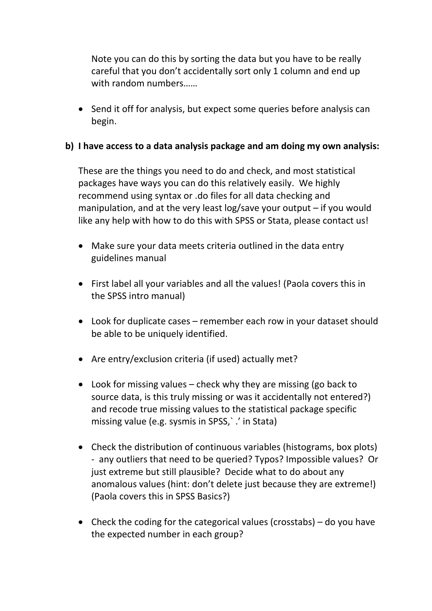Note you can do this by sorting the data but you have to be really careful that you don't accidentally sort only 1 column and end up with random numbers……

• Send it off for analysis, but expect some queries before analysis can begin.

## **b) I have access to a data analysis package and am doing my own analysis:**

These are the things you need to do and check, and most statistical packages have ways you can do this relatively easily. We highly recommend using syntax or .do files for all data checking and manipulation, and at the very least log/save your output – if you would like any help with how to do this with SPSS or Stata, please contact us!

- Make sure your data meets criteria outlined in the data entry guidelines manual
- First label all your variables and all the values! (Paola covers this in the SPSS intro manual)
- Look for duplicate cases remember each row in your dataset should be able to be uniquely identified.
- Are entry/exclusion criteria (if used) actually met?
- Look for missing values check why they are missing (go back to source data, is this truly missing or was it accidentally not entered?) and recode true missing values to the statistical package specific missing value (e.g. sysmis in SPSS,` .' in Stata)
- Check the distribution of continuous variables (histograms, box plots) - any outliers that need to be queried? Typos? Impossible values? Or just extreme but still plausible? Decide what to do about any anomalous values (hint: don't delete just because they are extreme!) (Paola covers this in SPSS Basics?)
- Check the coding for the categorical values (crosstabs) do you have the expected number in each group?